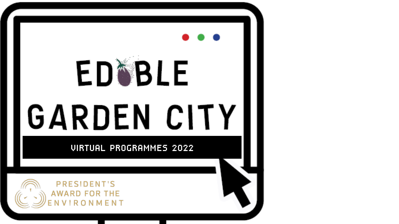# ED®BLE GARDEN CITY

VIRTUAL PROGRAMMES 2022

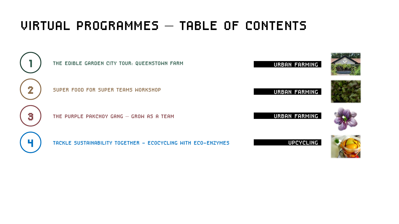## VIRTUAL PROGRAMMES – TABLE OF CONTENTS



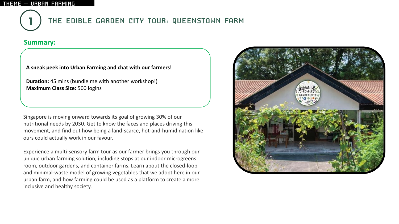

## THE EDIBLE GARDEN CITY TOUR: QUEENSTOWN FARM

### **Summary:**

#### **A sneak peek into Urban Farming and chat with our farmers!**

**Duration:** 45 mins (bundle me with another workshop!) **Maximum Class Size:** 500 logins

Singapore is moving onward towards its goal of growing 30% of our nutritional needs by 2030. Get to know the faces and places driving this movement, and find out how being a land-scarce, hot-and-humid nation like ours could actually work in our favour.

Experience a multi-sensory farm tour as our farmer brings you through our unique urban farming solution, including stops at our indoor microgreens room, outdoor gardens, and container farms. Learn about the closed-loop and minimal-waste model of growing vegetables that we adopt here in our urban farm, and how farming could be used as a platform to create a more inclusive and healthy society.

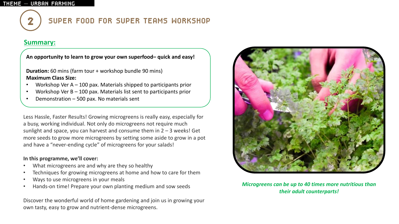## SUPER FOOD FOR SUPER TEAMS WORKSHOP

### **Summary:**

**An opportunity to learn to grow your own superfood– quick and easy!**

**Duration:** 60 mins (farm tour + workshop bundle 90 mins) **Maximum Class Size:** 

- Workshop Ver  $A 100$  pax. Materials shipped to participants prior
- Workshop Ver  $B 100$  pax. Materials list sent to participants prior
- Demonstration  $-500$  pax. No materials sent

Less Hassle, Faster Results! Growing microgreens is really easy, especially for a busy, working individual. Not only do microgreens not require much sunlight and space, you can harvest and consume them in  $2 - 3$  weeks! Get more seeds to grow more microgreens by setting some aside to grow in a pot and have a "never-ending cycle" of microgreens for your salads!

#### **In this programme, we'll cover:**

- What microgreens are and why are they so healthy
- Techniques for growing microgreens at home and how to care for them
- Ways to use microgreens in your meals
- Hands-on time! Prepare your own planting medium and sow seeds

Discover the wonderful world of home gardening and join us in growing your own tasty, easy to grow and nutrient-dense microgreens.



*Microgreens can be up to 40 times more nutritious than their adult counterparts!*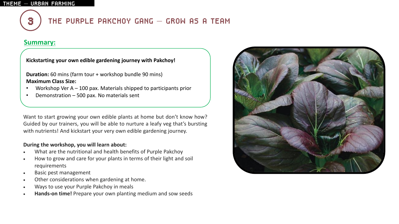

## 3 THE PURPLE PAKCHOY GANG – GROW AS A TEAM

## **Summary:**

**Kickstarting your own edible gardening journey with Pakchoy!**

**Duration:** 60 mins (farm tour + workshop bundle 90 mins) **Maximum Class Size:** 

- Workshop Ver  $A 100$  pax. Materials shipped to participants prior
- Demonstration 500 pax. No materials sent

Want to start growing your own edible plants at home but don't know how? Guided by our trainers, you will be able to nurture a leafy veg that's bursting with nutrients! And kickstart your very own edible gardening journey.

#### **During the workshop, you will learn about:**

- What are the nutritional and health benefits of Purple Pakchoy
- How to grow and care for your plants in terms of their light and soil requirements
- Basic pest management
- Other considerations when gardening at home.
- Ways to use your Purple Pakchoy in meals
- **Hands-on time!** Prepare your own planting medium and sow seeds

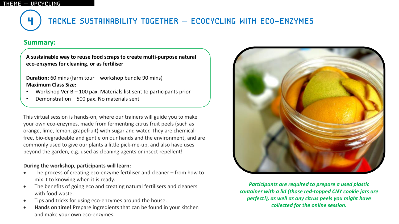

## 4 TACKLE SUSTAINABILITY TOGETHER – ECOCYCLING WITH ECO-ENZYMES

## **Summary:**

**A sustainable way to reuse food scraps to create multi-purpose natural eco-enzymes for cleaning, or as fertiliser**

**Duration:** 60 mins (farm tour + workshop bundle 90 mins) **Maximum Class Size:** 

- Workshop Ver  $B 100$  pax. Materials list sent to participants prior
- Demonstration  $-500$  pax. No materials sent

This virtual session is hands-on, where our trainers will guide you to make your own eco-enzymes, made from fermenting citrus fruit peels (such as orange, lime, lemon, grapefruit) with sugar and water. They are chemicalfree, bio-degradeable and gentle on our hands and the environment, and are commonly used to give our plants a little pick-me-up, and also have uses beyond the garden, e.g. used as cleaning agents or insect repellent!

#### **During the workshop, participants will learn:**

- The process of creating eco-enzyme fertiliser and cleaner from how to mix it to knowing when it is ready.
- The benefits of going eco and creating natural fertilisers and cleaners with food waste.
- Tips and tricks for using eco-enzymes around the house.
- **Hands on time!** Prepare ingredients that can be found in your kitchen and make your own eco-enzymes.



*Participants are required to prepare a used plastic container with a lid (those red-topped CNY cookie jars are perfect!), as well as any citrus peels you might have collected for the online session.*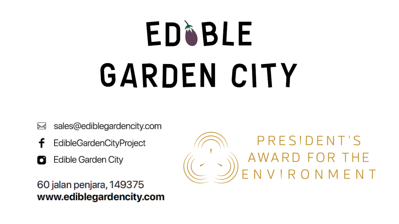# ED®BLE GARDEN CITY

- sales@ediblegardencity.com ≻≼
- EdibleGardenCityProject
- Edible Garden City О

60 jalan penjara, 149375 www.ediblegardencity.com

PRESIDENT'S AWARD FOR THE<br>ENVIRONMENT